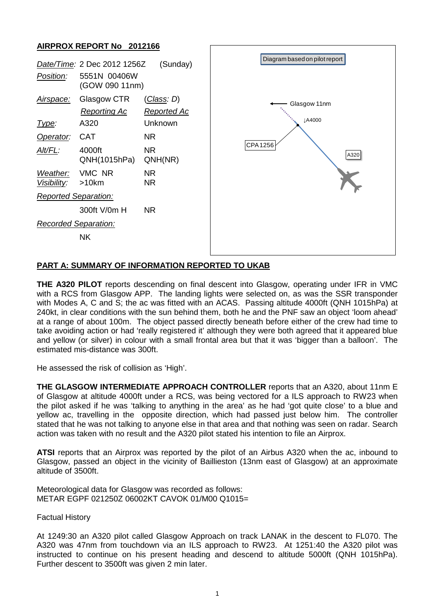## **AIRPROX REPORT No 2012166**

| (Sunday)<br>Date/Time: 2 Dec 2012 1256Z<br>Position:<br>5551N 00406W<br>(GOW 090 11nm) |                                            |                                                     | Diagram based on pilot report             |
|----------------------------------------------------------------------------------------|--------------------------------------------|-----------------------------------------------------|-------------------------------------------|
| Airspace:<br><u>Type:</u>                                                              | Glasgow CTR<br><b>Reporting Ac</b><br>A320 | <u>(Class</u> : D)<br><b>Reported Ac</b><br>Unknown | Glasgow 11nm<br>JA4000<br>CPA1256<br>A320 |
| Operator:                                                                              | <b>CAT</b>                                 | NR.                                                 |                                           |
| Alt/FL:                                                                                | 4000ft<br>QNH(1015hPa)                     | <b>NR</b><br>QNH(NR)                                |                                           |
| Weather:<br>Visibility:                                                                | VMC NR<br>>10km                            | NR.<br>NR.                                          |                                           |
| <b>Reported Separation:</b>                                                            |                                            |                                                     |                                           |
|                                                                                        | 300ft V/0m H                               | <b>NR</b>                                           |                                           |
| <b>Recorded Separation:</b>                                                            |                                            |                                                     |                                           |
|                                                                                        | <b>NK</b>                                  |                                                     |                                           |

# **PART A: SUMMARY OF INFORMATION REPORTED TO UKAB**

**THE A320 PILOT** reports descending on final descent into Glasgow, operating under IFR in VMC with a RCS from Glasgow APP. The landing lights were selected on, as was the SSR transponder with Modes A, C and S; the ac was fitted with an ACAS. Passing altitude 4000ft (QNH 1015hPa) at 240kt, in clear conditions with the sun behind them, both he and the PNF saw an object 'loom ahead' at a range of about 100m. The object passed directly beneath before either of the crew had time to take avoiding action or had 'really registered it' although they were both agreed that it appeared blue and yellow (or silver) in colour with a small frontal area but that it was 'bigger than a balloon'. The estimated mis-distance was 300ft.

He assessed the risk of collision as 'High'.

**THE GLASGOW INTERMEDIATE APPROACH CONTROLLER** reports that an A320, about 11nm E of Glasgow at altitude 4000ft under a RCS, was being vectored for a ILS approach to RW23 when the pilot asked if he was 'talking to anything in the area' as he had 'got quite close' to a blue and yellow ac, travelling in the opposite direction, which had passed just below him. The controller stated that he was not talking to anyone else in that area and that nothing was seen on radar. Search action was taken with no result and the A320 pilot stated his intention to file an Airprox.

**ATSI** reports that an Airprox was reported by the pilot of an Airbus A320 when the ac, inbound to Glasgow, passed an object in the vicinity of Baillieston (13nm east of Glasgow) at an approximate altitude of 3500ft.

Meteorological data for Glasgow was recorded as follows: METAR EGPF 021250Z 06002KT CAVOK 01/M00 Q1015=

Factual History

At 1249:30 an A320 pilot called Glasgow Approach on track LANAK in the descent to FL070. The A320 was 47nm from touchdown via an ILS approach to RW23. At 1251:40 the A320 pilot was instructed to continue on his present heading and descend to altitude 5000ft (QNH 1015hPa). Further descent to 3500ft was given 2 min later.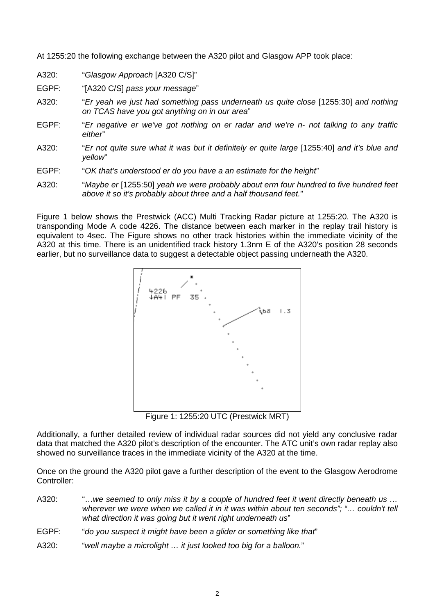At 1255:20 the following exchange between the A320 pilot and Glasgow APP took place:

- A320: "*Glasgow Approach* [A320 C/S]"
- EGPF: "[A320 C/S] *pass your message*"
- A320: "*Er yeah we just had something pass underneath us quite close* [1255:30] *and nothing on TCAS have you got anything on in our area*"
- EGPF: "*Er negative er we've got nothing on er radar and we're n- not talking to any traffic either*"
- A320: "*Er not quite sure what it was but it definitely er quite large* [1255:40] *and it's blue and yellow*"
- EGPF: "*OK that's understood er do you have a an estimate for the height*"
- A320: "*Maybe er* [1255:50] *yeah we were probably about erm four hundred to five hundred feet above it so it's probably about three and a half thousand feet.*"

Figure 1 below shows the Prestwick (ACC) Multi Tracking Radar picture at 1255:20. The A320 is transponding Mode A code 4226. The distance between each marker in the replay trail history is equivalent to 4sec. The Figure shows no other track histories within the immediate vicinity of the A320 at this time. There is an unidentified track history 1.3nm E of the A320's position 28 seconds earlier, but no surveillance data to suggest a detectable object passing underneath the A320.



Figure 1: 1255:20 UTC (Prestwick MRT)

Additionally, a further detailed review of individual radar sources did not yield any conclusive radar data that matched the A320 pilot's description of the encounter. The ATC unit's own radar replay also showed no surveillance traces in the immediate vicinity of the A320 at the time.

Once on the ground the A320 pilot gave a further description of the event to the Glasgow Aerodrome Controller:

- A320: "…*we seemed to only miss it by a couple of hundred feet it went directly beneath us … wherever we were when we called it in it was within about ten seconds"; "… couldn't tell what direction it was going but it went right underneath us*"
- EGPF: "*do you suspect it might have been a glider or something like that*"
- A320: "*well maybe a microlight … it just looked too big for a balloon.*"